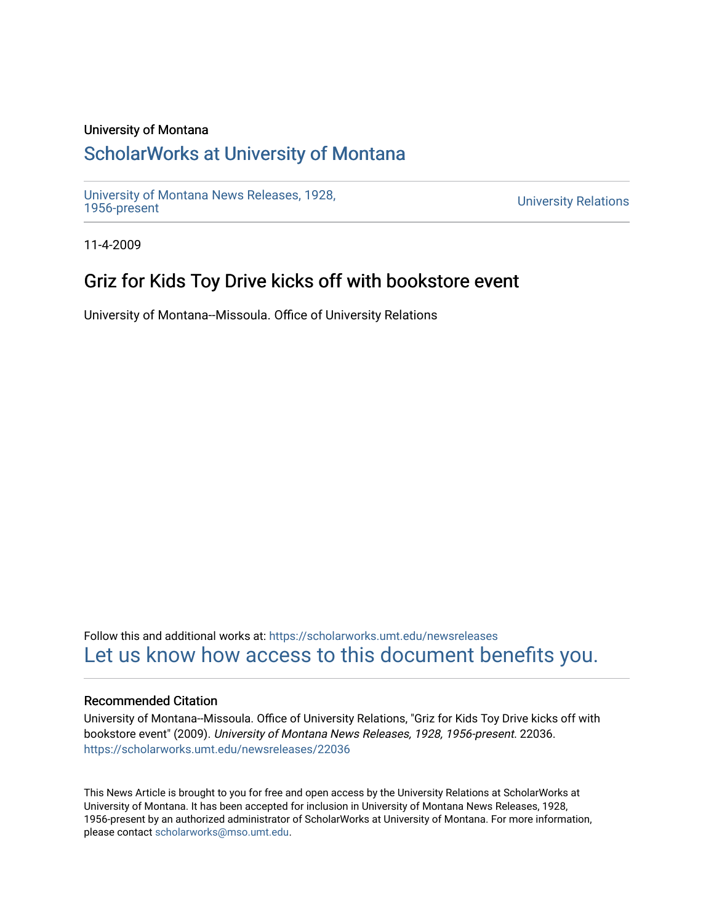### University of Montana

## [ScholarWorks at University of Montana](https://scholarworks.umt.edu/)

[University of Montana News Releases, 1928,](https://scholarworks.umt.edu/newsreleases) 

**University Relations** 

11-4-2009

## Griz for Kids Toy Drive kicks off with bookstore event

University of Montana--Missoula. Office of University Relations

Follow this and additional works at: [https://scholarworks.umt.edu/newsreleases](https://scholarworks.umt.edu/newsreleases?utm_source=scholarworks.umt.edu%2Fnewsreleases%2F22036&utm_medium=PDF&utm_campaign=PDFCoverPages) [Let us know how access to this document benefits you.](https://goo.gl/forms/s2rGfXOLzz71qgsB2) 

#### Recommended Citation

University of Montana--Missoula. Office of University Relations, "Griz for Kids Toy Drive kicks off with bookstore event" (2009). University of Montana News Releases, 1928, 1956-present. 22036. [https://scholarworks.umt.edu/newsreleases/22036](https://scholarworks.umt.edu/newsreleases/22036?utm_source=scholarworks.umt.edu%2Fnewsreleases%2F22036&utm_medium=PDF&utm_campaign=PDFCoverPages) 

This News Article is brought to you for free and open access by the University Relations at ScholarWorks at University of Montana. It has been accepted for inclusion in University of Montana News Releases, 1928, 1956-present by an authorized administrator of ScholarWorks at University of Montana. For more information, please contact [scholarworks@mso.umt.edu.](mailto:scholarworks@mso.umt.edu)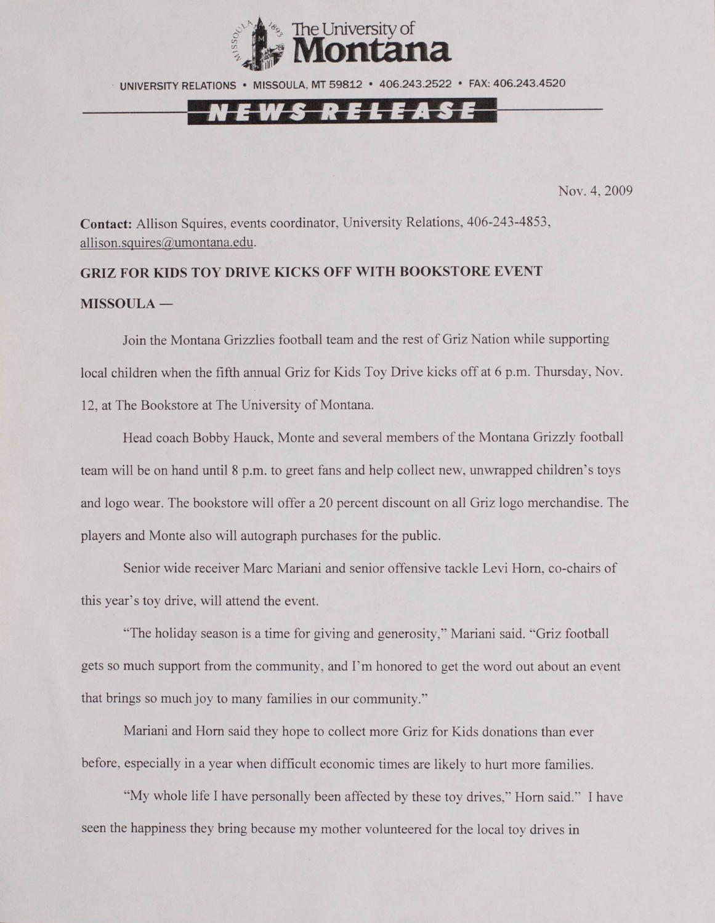

UNIVERSITY RELATIONS • MISSOULA. MT 59812 • 406.243.2522 • FAX: 406.243.4520

Nov. 4, 2009

**Contact:** Allison Squires, events coordinator, University Relations, 406-243-4853, [allison.squires@umontana.edu](mailto:allison.squires@umontana.edu).

# **GRIZ FOR KIDS TOY DRIVE KICKS OFF WITH BOOKSTORE EVENT MISSOULA —**

Join the Montana Grizzlies football team and the rest of Griz Nation while supporting local children when the fifth annual Griz for Kids Toy Drive kicks off at 6 p.m. Thursday, Nov. 12, at The Bookstore at The University of Montana.

Head coach Bobby Hauck, Monte and several members of the Montana Grizzly football team will be on hand until 8 p.m. to greet fans and help collect new, unwrapped children's toys and logo wear. The bookstore will offer a 20 percent discount on all Griz logo merchandise. The players and Monte also will autograph purchases for the public.

Senior wide receiver Marc Mariani and senior offensive tackle Levi Horn, co-chairs of this year's toy drive, will attend the event.

"The holiday season is a time for giving and generosity," Mariani said. "Griz football gets so much support from the community, and I'm honored to get the word out about an event that brings so much joy to many families in our community."

Mariani and Horn said they hope to collect more Griz for Kids donations than ever before, especially in a year when difficult economic times are likely to hurt more families.

"My whole life I have personally been affected by these toy drives," Horn said." I have seen the happiness they bring because my mother volunteered for the local toy drives in